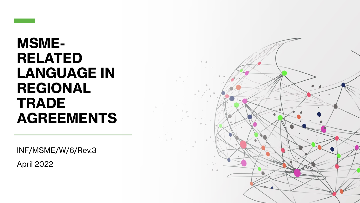

# **MSME-RELATED LANGUAGE IN REGIONAL TRADE AGREEMENTS**

INF/MSME/W/6/Rev.3

April 2022

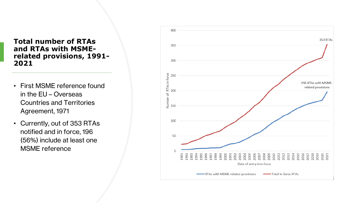### **Total number of RTAs and RTAs with MSMErelated provisions, 1991- 2021**

- First MSME reference found in the EU – Overseas Countries and Territories Agreement, 1971
- Currently, out of 353 RTAs notified and in force, 196 (56%) include at least one MSME reference

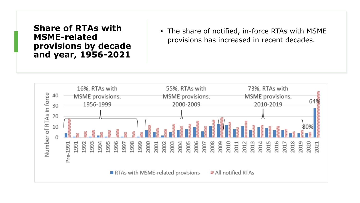**Share of RTAs with MSME-related provisions by decade and year, 1956-2021**

• The share of notified, in-force RTAs with MSME provisions has increased in recent decades.

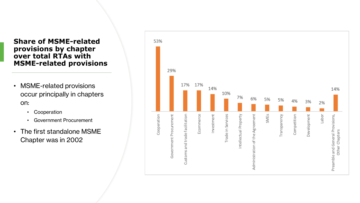### **Share of MSME-related provisions by chapter over total RTAs with MSME-related provisions**

- MSME-related provisions occur principally in chapters on:
	- Cooperation
	- Government Procurement
- The first standalone MSME Chapter was in 2002

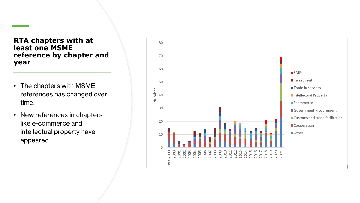### **RTA chapters with at least one MSME reference by chapter and year**

- The chapters with MSME references has changed over time.
- New references in chapters like e-commerce and intellectual property have appeared.

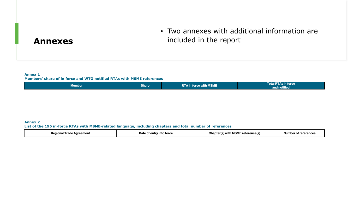## • Two annexes with additional information are included in the report

## **Annexes**

### **Annex 1**

#### **Members' share of in force and WTO notified RTAs with MSME references**

|  | . .<br>Member, | <b>Share</b> | $\,$ rce with MSME $\,$<br><b>RTA</b> in<br><u>aavin Top</u> | $\mathbf{r}$ . The state $\mathbf{r}$<br>l otal R I As in force l<br>.<br>and notified |
|--|----------------|--------------|--------------------------------------------------------------|----------------------------------------------------------------------------------------|
|--|----------------|--------------|--------------------------------------------------------------|----------------------------------------------------------------------------------------|

#### **Annex 2 List of the 196 in-force RTAs with MSME-related language, including chapters and total number of references**

| Aareement<br>אמט<br>lonal<br>ממנ<br>new<br>raut | Date (<br>torco<br>Into.<br>.nrr | -----------<br><br>with<br>TIS<br>ושכו<br> | r rataranca<br><b>NUMDE</b><br>ΩТ<br>- - - - - |
|-------------------------------------------------|----------------------------------|--------------------------------------------|------------------------------------------------|
|-------------------------------------------------|----------------------------------|--------------------------------------------|------------------------------------------------|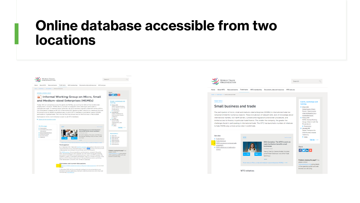# **Online database accessible from two locations**